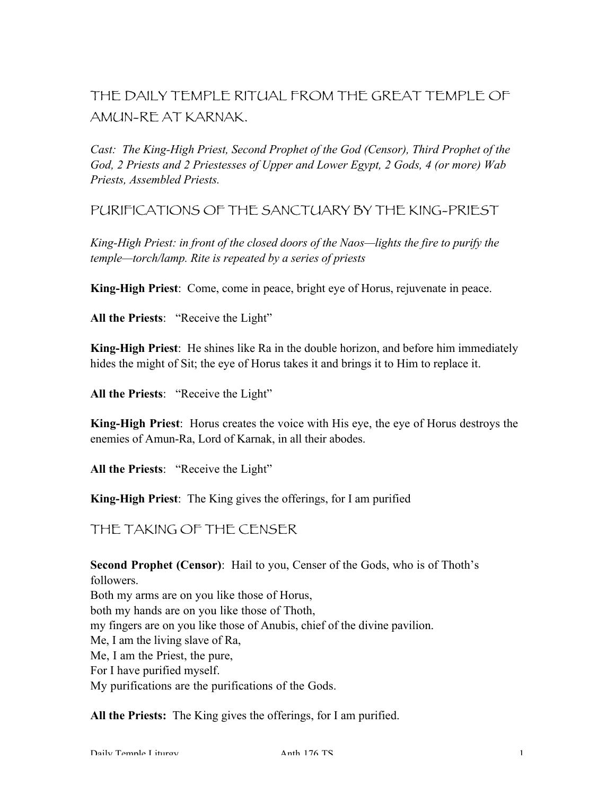THE DAILY TEMPLE RITUAL FROM THE GREAT TEMPLE OF AMUN-RE AT KARNAK.

*Cast: The King-High Priest, Second Prophet of the God (Censor), Third Prophet of the God, 2 Priests and 2 Priestesses of Upper and Lower Egypt, 2 Gods, 4 (or more) Wab Priests, Assembled Priests.*

PURIFICATIONS OF THE SANCTUARY BY THE KING-PRIEST

*King-High Priest: in front of the closed doors of the Naos—lights the fire to purify the temple—torch/lamp. Rite is repeated by a series of priests*

King-High Priest: Come, come in peace, bright eye of Horus, rejuvenate in peace.

All the Priests: "Receive the Light"

King-High Priest: He shines like Ra in the double horizon, and before him immediately hides the might of Sit; the eye of Horus takes it and brings it to Him to replace it.

All the Priests: "Receive the Light"

King-High Priest: Horus creates the voice with His eye, the eye of Horus destroys the enemies of Amun-Ra, Lord of Karnak, in all their abodes.

All the Priests: "Receive the Light"

King-High Priest: The King gives the offerings, for I am purified

THE TAKING OF THE CENSER

Second Prophet (Censor): Hail to you, Censer of the Gods, who is of Thoth's followers. Both my arms are on you like those of Horus, both my hands are on you like those of Thoth, my fingers are on you like those of Anubis, chief of the divine pavilion. Me, I am the living slave of Ra, Me, I am the Priest, the pure, For I have purified myself. My purifications are the purifications of the Gods.

All the Priests: The King gives the offerings, for I am purified.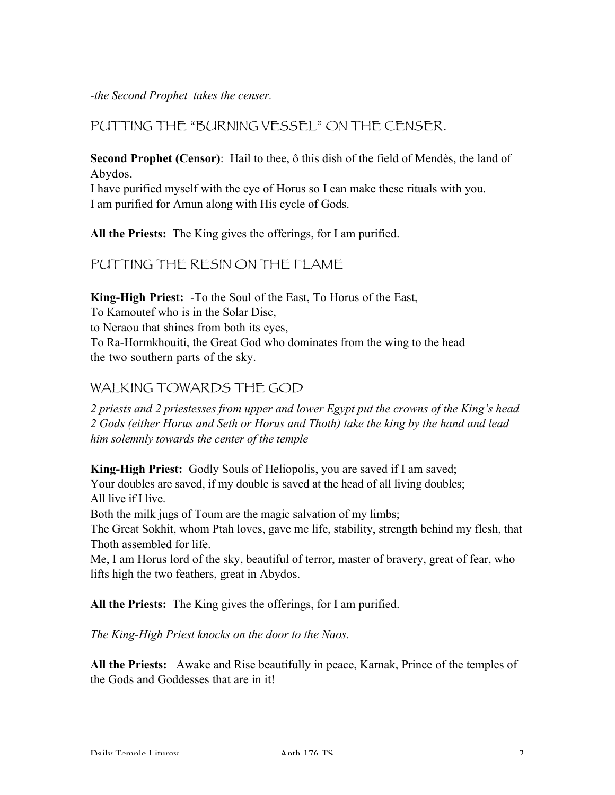*-the Second Prophet takes the censer.*

#### PUTTING THE "BURNING VESSEL" ON THE CENSER.

Second Prophet (Censor): Hail to thee, ô this dish of the field of Mendès, the land of Abydos.

I have purified myself with the eye of Horus so I can make these rituals with you. I am purified for Amun along with His cycle of Gods.

All the Priests: The King gives the offerings, for I am purified.

PUTTING THE RESIN ON THE FLAME

King-High Priest: -To the Soul of the East, To Horus of the East,

To Kamoutef who is in the Solar Disc,

to Neraou that shines from both its eyes,

To Ra-Hormkhouiti, the Great God who dominates from the wing to the head the two southern parts of the sky.

#### WAI KING TOWARDS THE GOD

*2 priests and 2 priestesses from upper and lower Egypt put the crowns of the King's head 2 Gods (either Horus and Seth or Horus and Thoth) take the king by the hand and lead him solemnly towards the center of the temple*

King-High Priest: Godly Souls of Heliopolis, you are saved if I am saved;

Your doubles are saved, if my double is saved at the head of all living doubles; All live if I live.

Both the milk jugs of Toum are the magic salvation of my limbs;

The Great Sokhit, whom Ptah loves, gave me life, stability, strength behind my flesh, that Thoth assembled for life.

Me, I am Horus lord of the sky, beautiful of terror, master of bravery, great of fear, who lifts high the two feathers, great in Abydos.

All the Priests: The King gives the offerings, for I am purified.

*The King-High Priest knocks on the door to the Naos.*

All the Priests: Awake and Rise beautifully in peace, Karnak, Prince of the temples of the Gods and Goddesses that are in it!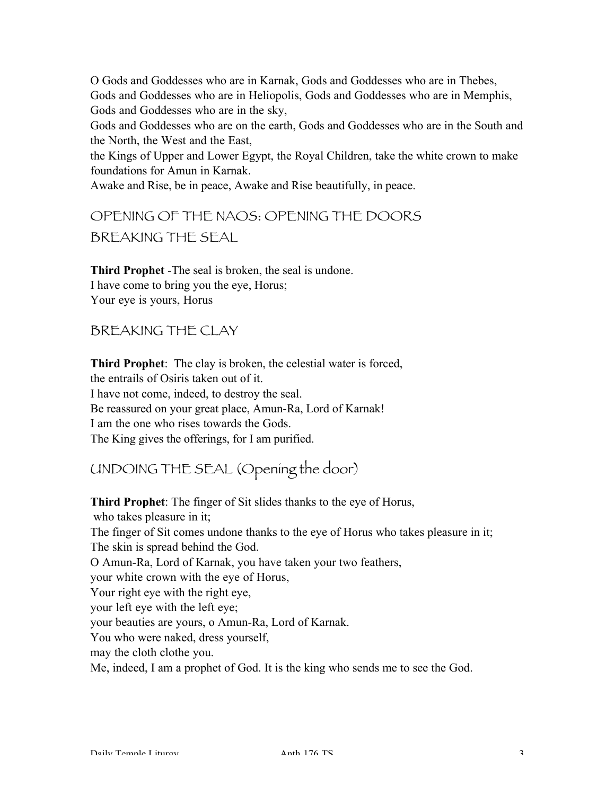O Gods and Goddesses who are in Karnak, Gods and Goddesses who are in Thebes, Gods and Goddesses who are in Heliopolis, Gods and Goddesses who are in Memphis, Gods and Goddesses who are in the sky,

Gods and Goddesses who are on the earth, Gods and Goddesses who are in the South and the North, the West and the East,

the Kings of Upper and Lower Egypt, the Royal Children, take the white crown to make foundations for Amun in Karnak.

Awake and Rise, be in peace, Awake and Rise beautifully, in peace.

OPENING OF THE NAOS: OPENING THE DOORS BREAKING THE SEAL

Third Prophet -The seal is broken, the seal is undone. I have come to bring you the eye, Horus; Your eye is yours, Horus

BREAKING THE CLAY

Third Prophet: The clay is broken, the celestial water is forced, the entrails of Osiris taken out of it. I have not come, indeed, to destroy the seal. Be reassured on your great place, Amun-Ra, Lord of Karnak! I am the one who rises towards the Gods. The King gives the offerings, for I am purified.

UNDOING THE SEAL (Opening the door)

Third Prophet: The finger of Sit slides thanks to the eye of Horus, who takes pleasure in it; The finger of Sit comes undone thanks to the eye of Horus who takes pleasure in it; The skin is spread behind the God. O Amun-Ra, Lord of Karnak, you have taken your two feathers, your white crown with the eye of Horus, Your right eye with the right eye, your left eye with the left eye; your beauties are yours, o Amun-Ra, Lord of Karnak. You who were naked, dress yourself, may the cloth clothe you. Me, indeed, I am a prophet of God. It is the king who sends me to see the God.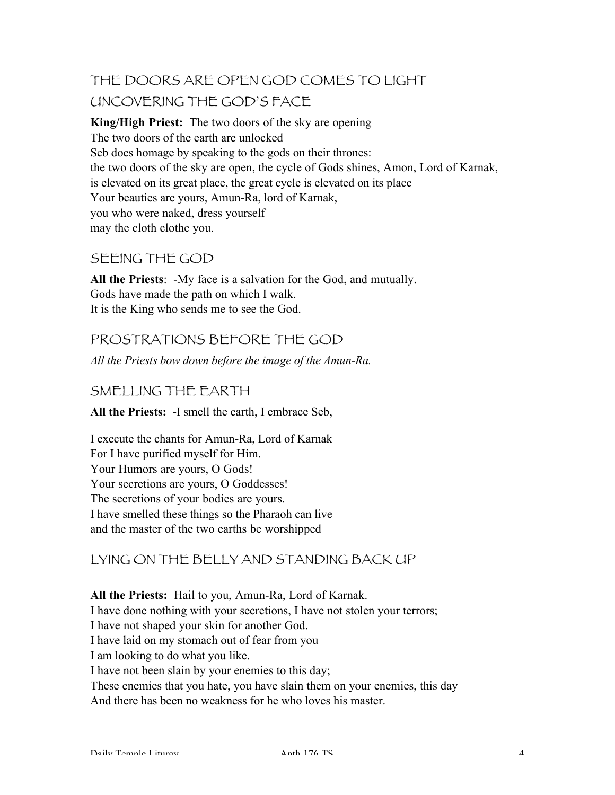# THE DOORS ARE OPEN GOD COMES TO LIGHT UNCOVERING THE GOD'S FACE

King/High Priest: The two doors of the sky are opening The two doors of the earth are unlocked Seb does homage by speaking to the gods on their thrones: the two doors of the sky are open, the cycle of Gods shines, Amon, Lord of Karnak, is elevated on its great place, the great cycle is elevated on its place Your beauties are yours, Amun-Ra, lord of Karnak, you who were naked, dress yourself may the cloth clothe you.

## SEEING THE GOD

All the Priests: -My face is a salvation for the God, and mutually. Gods have made the path on which I walk. It is the King who sends me to see the God.

# PROSTRATIONS BEFORE THE GOD

*All the Priests bow down before the image of the Amun-Ra.*

### SMELLING THE EARTH

All the Priests: -I smell the earth, I embrace Seb,

I execute the chants for Amun-Ra, Lord of Karnak For I have purified myself for Him. Your Humors are yours, O Gods! Your secretions are yours, O Goddesses! The secretions of your bodies are yours. I have smelled these things so the Pharaoh can live and the master of the two earths be worshipped

# LYING ON THE BELLY AND STANDING BACK UP

All the Priests: Hail to you, Amun-Ra, Lord of Karnak. I have done nothing with your secretions, I have not stolen your terrors; I have not shaped your skin for another God. I have laid on my stomach out of fear from you I am looking to do what you like. I have not been slain by your enemies to this day; These enemies that you hate, you have slain them on your enemies, this day And there has been no weakness for he who loves his master.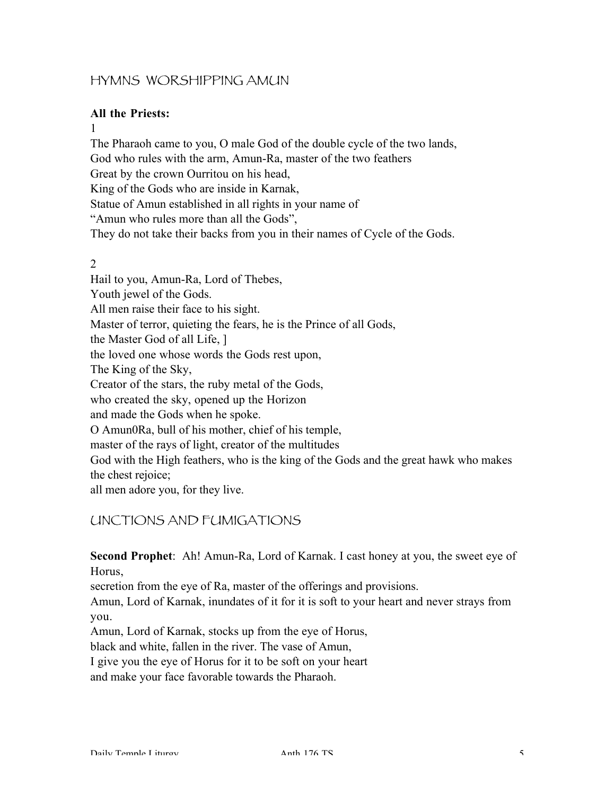### HYMNS WORSHIPPING AMUN

#### All the Priests:

1

The Pharaoh came to you, O male God of the double cycle of the two lands, God who rules with the arm, Amun-Ra, master of the two feathers Great by the crown Ourritou on his head, King of the Gods who are inside in Karnak, Statue of Amun established in all rights in your name of "Amun who rules more than all the Gods", They do not take their backs from you in their names of Cycle of the Gods.

#### 2

Hail to you, Amun-Ra, Lord of Thebes, Youth jewel of the Gods. All men raise their face to his sight. Master of terror, quieting the fears, he is the Prince of all Gods, the Master God of all Life, ] the loved one whose words the Gods rest upon, The King of the Sky, Creator of the stars, the ruby metal of the Gods, who created the sky, opened up the Horizon and made the Gods when he spoke. O Amun0Ra, bull of his mother, chief of his temple, master of the rays of light, creator of the multitudes God with the High feathers, who is the king of the Gods and the great hawk who makes the chest rejoice; all men adore you, for they live.

UNCTIONS AND FUMIGATIONS

Second Prophet: Ah! Amun-Ra, Lord of Karnak. I cast honey at you, the sweet eye of Horus,

secretion from the eye of Ra, master of the offerings and provisions.

Amun, Lord of Karnak, inundates of it for it is soft to your heart and never strays from you.

Amun, Lord of Karnak, stocks up from the eye of Horus,

black and white, fallen in the river. The vase of Amun,

I give you the eye of Horus for it to be soft on your heart

and make your face favorable towards the Pharaoh.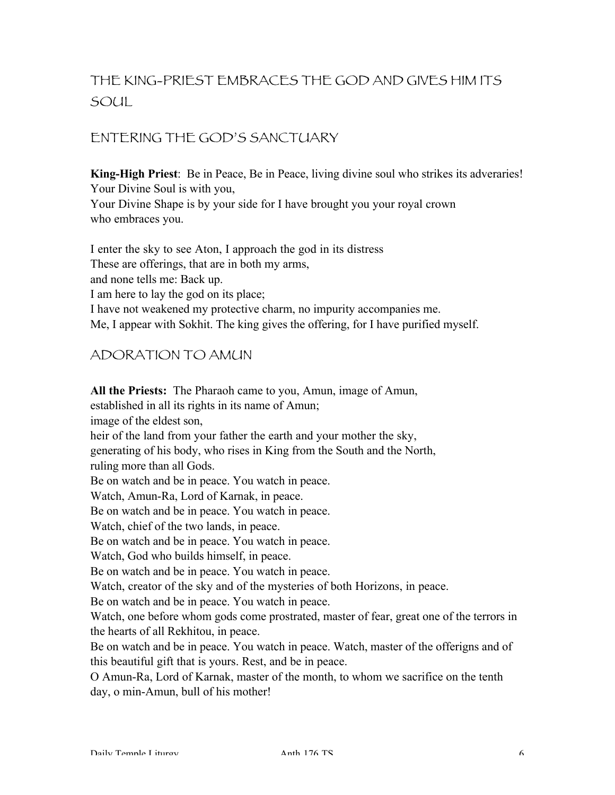# THE KING-PRIEST EMBRACES THE GOD AND GIVES HIM ITS  $SO(1)$

# ENTERING THE GOD'S SANCTUARY

King-High Priest: Be in Peace, Be in Peace, living divine soul who strikes its adveraries! Your Divine Soul is with you,

Your Divine Shape is by your side for I have brought you your royal crown who embraces you.

I enter the sky to see Aton, I approach the god in its distress These are offerings, that are in both my arms, and none tells me: Back up. I am here to lay the god on its place; I have not weakened my protective charm, no impurity accompanies me. Me, I appear with Sokhit. The king gives the offering, for I have purified myself.

### ADORATION TO AMUN

All the Priests: The Pharaoh came to you, Amun, image of Amun, established in all its rights in its name of Amun; image of the eldest son, heir of the land from your father the earth and your mother the sky, generating of his body, who rises in King from the South and the North, ruling more than all Gods. Be on watch and be in peace. You watch in peace. Watch, Amun-Ra, Lord of Karnak, in peace. Be on watch and be in peace. You watch in peace. Watch, chief of the two lands, in peace. Be on watch and be in peace. You watch in peace. Watch, God who builds himself, in peace. Be on watch and be in peace. You watch in peace. Watch, creator of the sky and of the mysteries of both Horizons, in peace. Be on watch and be in peace. You watch in peace. Watch, one before whom gods come prostrated, master of fear, great one of the terrors in the hearts of all Rekhitou, in peace. Be on watch and be in peace. You watch in peace. Watch, master of the offerigns and of this beautiful gift that is yours. Rest, and be in peace. O Amun-Ra, Lord of Karnak, master of the month, to whom we sacrifice on the tenth day, o min-Amun, bull of his mother!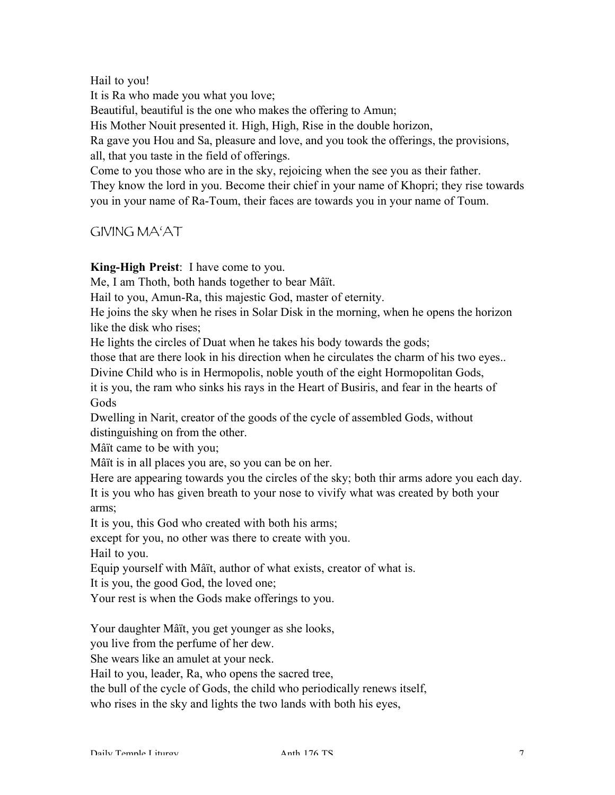Hail to you!

It is Ra who made you what you love;

Beautiful, beautiful is the one who makes the offering to Amun;

His Mother Nouit presented it. High, High, Rise in the double horizon,

Ra gave you Hou and Sa, pleasure and love, and you took the offerings, the provisions, all, that you taste in the field of offerings.

Come to you those who are in the sky, rejoicing when the see you as their father. They know the lord in you. Become their chief in your name of Khopri; they rise towards you in your name of Ra-Toum, their faces are towards you in your name of Toum.

# GIVING MA'AT

King-High Preist: I have come to you.

Me, I am Thoth, both hands together to bear Mâït.

Hail to you, Amun-Ra, this majestic God, master of eternity.

He joins the sky when he rises in Solar Disk in the morning, when he opens the horizon like the disk who rises;

He lights the circles of Duat when he takes his body towards the gods;

those that are there look in his direction when he circulates the charm of his two eyes..

Divine Child who is in Hermopolis, noble youth of the eight Hormopolitan Gods,

it is you, the ram who sinks his rays in the Heart of Busiris, and fear in the hearts of Gods

Dwelling in Narit, creator of the goods of the cycle of assembled Gods, without distinguishing on from the other.

Mâït came to be with you;

Mâït is in all places you are, so you can be on her.

Here are appearing towards you the circles of the sky; both thir arms adore you each day. It is you who has given breath to your nose to vivify what was created by both your arms;

It is you, this God who created with both his arms;

except for you, no other was there to create with you.

Hail to you.

Equip yourself with Mâït, author of what exists, creator of what is.

It is you, the good God, the loved one;

Your rest is when the Gods make offerings to you.

Your daughter Mâït, you get younger as she looks,

you live from the perfume of her dew.

She wears like an amulet at your neck.

Hail to you, leader, Ra, who opens the sacred tree,

the bull of the cycle of Gods, the child who periodically renews itself,

who rises in the sky and lights the two lands with both his eyes,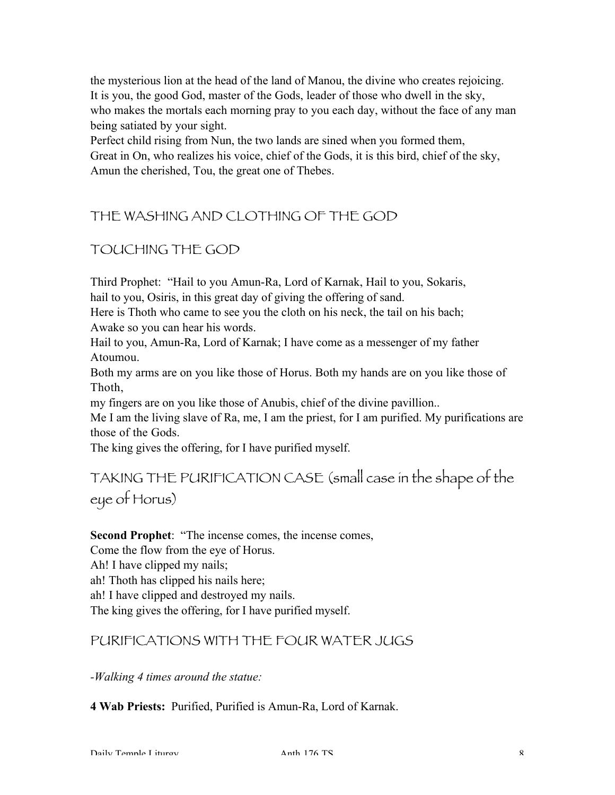the mysterious lion at the head of the land of Manou, the divine who creates rejoicing. It is you, the good God, master of the Gods, leader of those who dwell in the sky, who makes the mortals each morning pray to you each day, without the face of any man being satiated by your sight.

Perfect child rising from Nun, the two lands are sined when you formed them, Great in On, who realizes his voice, chief of the Gods, it is this bird, chief of the sky, Amun the cherished, Tou, the great one of Thebes.

# THE WASHING AND CLOTHING OF THE GOD

# TOUCHING THE GOD

Third Prophet: "Hail to you Amun-Ra, Lord of Karnak, Hail to you, Sokaris, hail to you, Osiris, in this great day of giving the offering of sand.

Here is Thoth who came to see you the cloth on his neck, the tail on his bach; Awake so you can hear his words.

Hail to you, Amun-Ra, Lord of Karnak; I have come as a messenger of my father Atoumou.

Both my arms are on you like those of Horus. Both my hands are on you like those of Thoth,

my fingers are on you like those of Anubis, chief of the divine pavillion..

Me I am the living slave of Ra, me, I am the priest, for I am purified. My purifications are those of the Gods.

The king gives the offering, for I have purified myself.

TAKING THE PURIFICATION CASE (small case in the shape of the eye of Horus)

#### Second Prophet: "The incense comes, the incense comes,

Come the flow from the eye of Horus.

Ah! I have clipped my nails;

ah! Thoth has clipped his nails here;

ah! I have clipped and destroyed my nails.

The king gives the offering, for I have purified myself.

### PURIFICATIONS WITH THE FOUR WATER JUGS

*-Walking 4 times around the statue:*

4 Wab Priests: Purified, Purified is Amun-Ra, Lord of Karnak.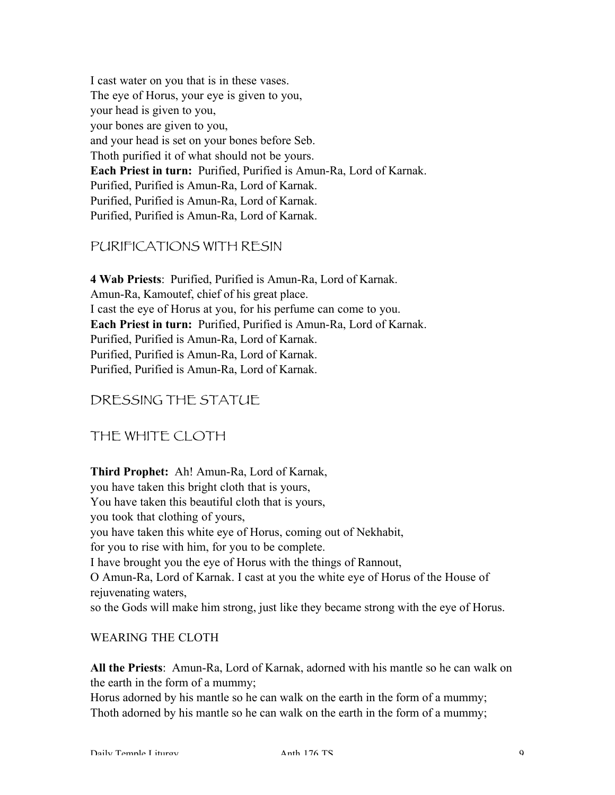I cast water on you that is in these vases. The eye of Horus, your eye is given to you, your head is given to you, your bones are given to you, and your head is set on your bones before Seb. Thoth purified it of what should not be yours. Each Priest in turn: Purified, Purified is Amun-Ra, Lord of Karnak. Purified, Purified is Amun-Ra, Lord of Karnak. Purified, Purified is Amun-Ra, Lord of Karnak. Purified, Purified is Amun-Ra, Lord of Karnak.

#### PURIFICATIONS WITH RESIN

4 Wab Priests: Purified, Purified is Amun-Ra, Lord of Karnak. Amun-Ra, Kamoutef, chief of his great place. I cast the eye of Horus at you, for his perfume can come to you. Each Priest in turn: Purified, Purified is Amun-Ra, Lord of Karnak. Purified, Purified is Amun-Ra, Lord of Karnak. Purified, Purified is Amun-Ra, Lord of Karnak. Purified, Purified is Amun-Ra, Lord of Karnak.

### DRESSING THE STATUE

### THE WHITE CLOTH

Third Prophet: Ah! Amun-Ra, Lord of Karnak, you have taken this bright cloth that is yours, You have taken this beautiful cloth that is yours, you took that clothing of yours, you have taken this white eye of Horus, coming out of Nekhabit, for you to rise with him, for you to be complete. I have brought you the eye of Horus with the things of Rannout, O Amun-Ra, Lord of Karnak. I cast at you the white eye of Horus of the House of rejuvenating waters, so the Gods will make him strong, just like they became strong with the eye of Horus.

#### WEARING THE CLOTH

All the Priests: Amun-Ra, Lord of Karnak, adorned with his mantle so he can walk on the earth in the form of a mummy;

Horus adorned by his mantle so he can walk on the earth in the form of a mummy; Thoth adorned by his mantle so he can walk on the earth in the form of a mummy;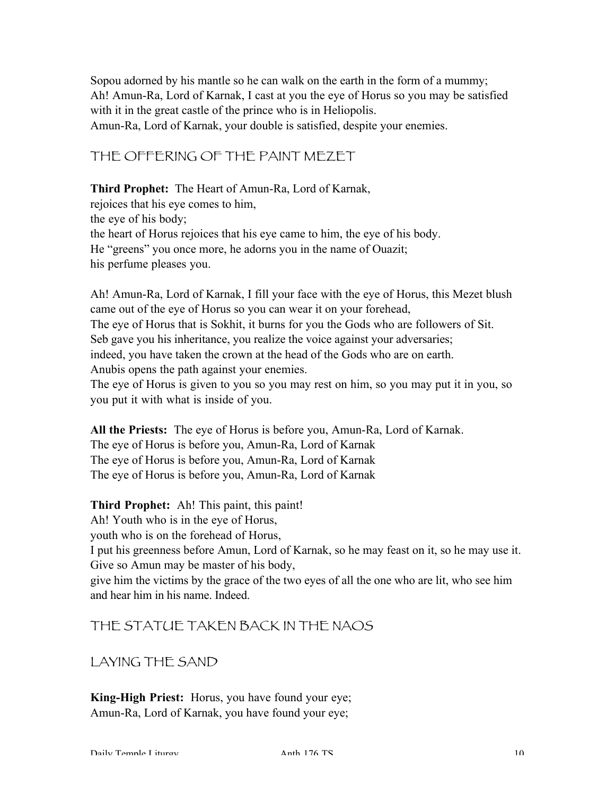Sopou adorned by his mantle so he can walk on the earth in the form of a mummy; Ah! Amun-Ra, Lord of Karnak, I cast at you the eye of Horus so you may be satisfied with it in the great castle of the prince who is in Heliopolis. Amun-Ra, Lord of Karnak, your double is satisfied, despite your enemies.

THE OFFERING OF THE PAINT MEZET

Third Prophet: The Heart of Amun-Ra, Lord of Karnak, rejoices that his eye comes to him, the eye of his body; the heart of Horus rejoices that his eye came to him, the eye of his body. He "greens" you once more, he adorns you in the name of Ouazit; his perfume pleases you.

Ah! Amun-Ra, Lord of Karnak, I fill your face with the eye of Horus, this Mezet blush came out of the eye of Horus so you can wear it on your forehead, The eye of Horus that is Sokhit, it burns for you the Gods who are followers of Sit. Seb gave you his inheritance, you realize the voice against your adversaries; indeed, you have taken the crown at the head of the Gods who are on earth. Anubis opens the path against your enemies. The eye of Horus is given to you so you may rest on him, so you may put it in you, so you put it with what is inside of you.

All the Priests: The eye of Horus is before you, Amun-Ra, Lord of Karnak. The eye of Horus is before you, Amun-Ra, Lord of Karnak The eye of Horus is before you, Amun-Ra, Lord of Karnak The eye of Horus is before you, Amun-Ra, Lord of Karnak

Third Prophet: Ah! This paint, this paint! Ah! Youth who is in the eye of Horus, youth who is on the forehead of Horus, I put his greenness before Amun, Lord of Karnak, so he may feast on it, so he may use it. Give so Amun may be master of his body, give him the victims by the grace of the two eyes of all the one who are lit, who see him and hear him in his name. Indeed.

# THE STATUE TAKEN BACK IN THE NAOS

LAYING THE SAND

King-High Priest: Horus, you have found your eye; Amun-Ra, Lord of Karnak, you have found your eye;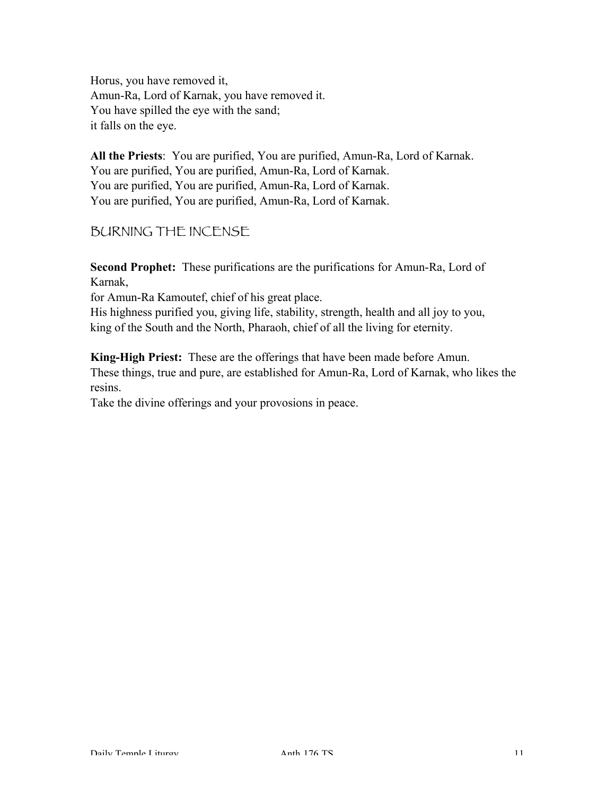Horus, you have removed it, Amun-Ra, Lord of Karnak, you have removed it. You have spilled the eye with the sand; it falls on the eye.

All the Priests: You are purified, You are purified, Amun-Ra, Lord of Karnak. You are purified, You are purified, Amun-Ra, Lord of Karnak. You are purified, You are purified, Amun-Ra, Lord of Karnak. You are purified, You are purified, Amun-Ra, Lord of Karnak.

## BURNING THE INCENSE

Second Prophet: These purifications are the purifications for Amun-Ra, Lord of Karnak,

for Amun-Ra Kamoutef, chief of his great place.

His highness purified you, giving life, stability, strength, health and all joy to you, king of the South and the North, Pharaoh, chief of all the living for eternity.

King-High Priest: These are the offerings that have been made before Amun. These things, true and pure, are established for Amun-Ra, Lord of Karnak, who likes the resins.

Take the divine offerings and your provosions in peace.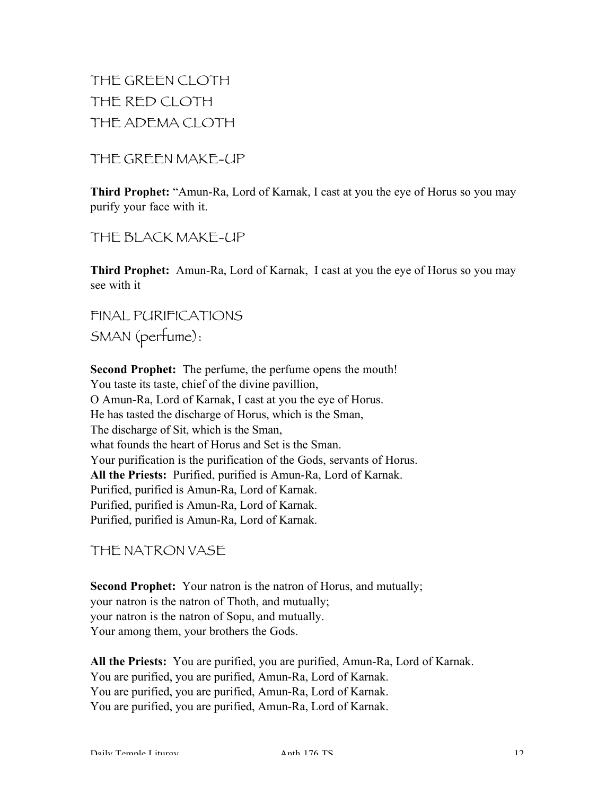THE GREEN CLOTH THE RED CLOTH THE ADEMA CLOTH

THE GREEN MAKE-UP

Third Prophet: "Amun-Ra, Lord of Karnak, I cast at you the eye of Horus so you may purify your face with it.

THE BLACK MAKE-UP

Third Prophet: Amun-Ra, Lord of Karnak, I cast at you the eye of Horus so you may see with it

FINAL PURIFICATIONS SMAN (perfume):

Second Prophet: The perfume, the perfume opens the mouth! You taste its taste, chief of the divine pavillion, O Amun-Ra, Lord of Karnak, I cast at you the eye of Horus. He has tasted the discharge of Horus, which is the Sman, The discharge of Sit, which is the Sman, what founds the heart of Horus and Set is the Sman. Your purification is the purification of the Gods, servants of Horus. All the Priests: Purified, purified is Amun-Ra, Lord of Karnak. Purified, purified is Amun-Ra, Lord of Karnak. Purified, purified is Amun-Ra, Lord of Karnak. Purified, purified is Amun-Ra, Lord of Karnak.

THE NATRON VASE

Second Prophet: Your natron is the natron of Horus, and mutually; your natron is the natron of Thoth, and mutually; your natron is the natron of Sopu, and mutually. Your among them, your brothers the Gods.

All the Priests: You are purified, you are purified, Amun-Ra, Lord of Karnak. You are purified, you are purified, Amun-Ra, Lord of Karnak. You are purified, you are purified, Amun-Ra, Lord of Karnak. You are purified, you are purified, Amun-Ra, Lord of Karnak.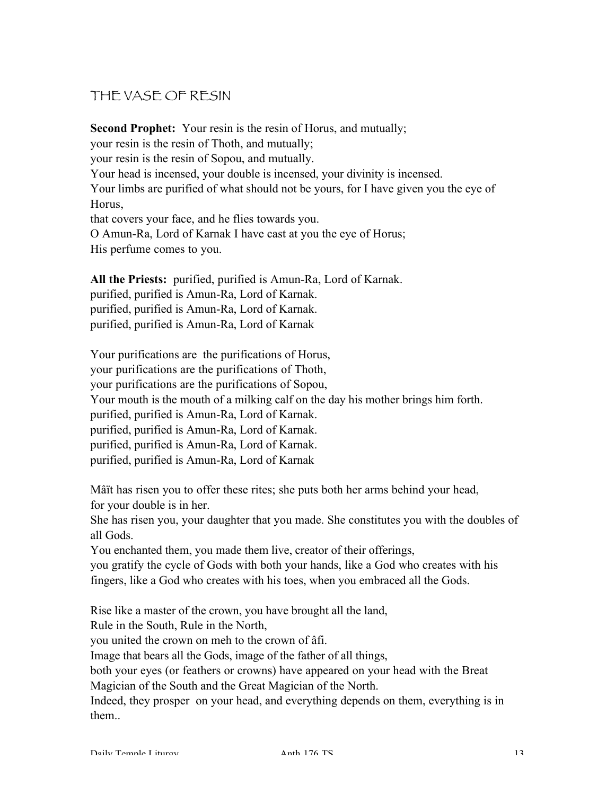# THE VASE OF RESIN

Second Prophet: Your resin is the resin of Horus, and mutually; your resin is the resin of Thoth, and mutually; your resin is the resin of Sopou, and mutually. Your head is incensed, your double is incensed, your divinity is incensed. Your limbs are purified of what should not be yours, for I have given you the eye of Horus, that covers your face, and he flies towards you. O Amun-Ra, Lord of Karnak I have cast at you the eye of Horus; His perfume comes to you.

All the Priests: purified, purified is Amun-Ra, Lord of Karnak. purified, purified is Amun-Ra, Lord of Karnak. purified, purified is Amun-Ra, Lord of Karnak. purified, purified is Amun-Ra, Lord of Karnak

Your purifications are the purifications of Horus, your purifications are the purifications of Thoth, your purifications are the purifications of Sopou, Your mouth is the mouth of a milking calf on the day his mother brings him forth. purified, purified is Amun-Ra, Lord of Karnak. purified, purified is Amun-Ra, Lord of Karnak. purified, purified is Amun-Ra, Lord of Karnak. purified, purified is Amun-Ra, Lord of Karnak

Mâït has risen you to offer these rites; she puts both her arms behind your head, for your double is in her.

She has risen you, your daughter that you made. She constitutes you with the doubles of all Gods.

You enchanted them, you made them live, creator of their offerings,

you gratify the cycle of Gods with both your hands, like a God who creates with his fingers, like a God who creates with his toes, when you embraced all the Gods.

Rise like a master of the crown, you have brought all the land,

Rule in the South, Rule in the North,

you united the crown on meh to the crown of âfi.

Image that bears all the Gods, image of the father of all things,

both your eyes (or feathers or crowns) have appeared on your head with the Breat Magician of the South and the Great Magician of the North.

Indeed, they prosper on your head, and everything depends on them, everything is in them..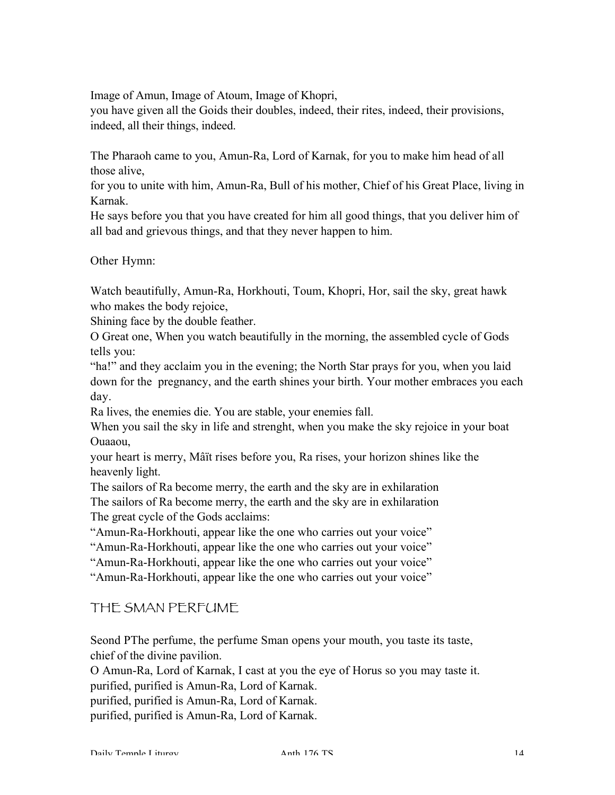Image of Amun, Image of Atoum, Image of Khopri,

you have given all the Goids their doubles, indeed, their rites, indeed, their provisions, indeed, all their things, indeed.

The Pharaoh came to you, Amun-Ra, Lord of Karnak, for you to make him head of all those alive,

for you to unite with him, Amun-Ra, Bull of his mother, Chief of his Great Place, living in Karnak.

He says before you that you have created for him all good things, that you deliver him of all bad and grievous things, and that they never happen to him.

Other Hymn:

Watch beautifully, Amun-Ra, Horkhouti, Toum, Khopri, Hor, sail the sky, great hawk who makes the body rejoice,

Shining face by the double feather.

O Great one, When you watch beautifully in the morning, the assembled cycle of Gods tells you:

"ha!" and they acclaim you in the evening; the North Star prays for you, when you laid down for the pregnancy, and the earth shines your birth. Your mother embraces you each day.

Ra lives, the enemies die. You are stable, your enemies fall.

When you sail the sky in life and strenght, when you make the sky rejoice in your boat Ouaaou,

your heart is merry, Mâït rises before you, Ra rises, your horizon shines like the heavenly light.

The sailors of Ra become merry, the earth and the sky are in exhilaration The sailors of Ra become merry, the earth and the sky are in exhilaration The great cycle of the Gods acclaims:

"Amun-Ra-Horkhouti, appear like the one who carries out your voice"

"Amun-Ra-Horkhouti, appear like the one who carries out your voice"

"Amun-Ra-Horkhouti, appear like the one who carries out your voice"

"Amun-Ra-Horkhouti, appear like the one who carries out your voice"

THE SMAN PERFUME

Seond PThe perfume, the perfume Sman opens your mouth, you taste its taste, chief of the divine pavilion.

O Amun-Ra, Lord of Karnak, I cast at you the eye of Horus so you may taste it. purified, purified is Amun-Ra, Lord of Karnak.

purified, purified is Amun-Ra, Lord of Karnak.

purified, purified is Amun-Ra, Lord of Karnak.